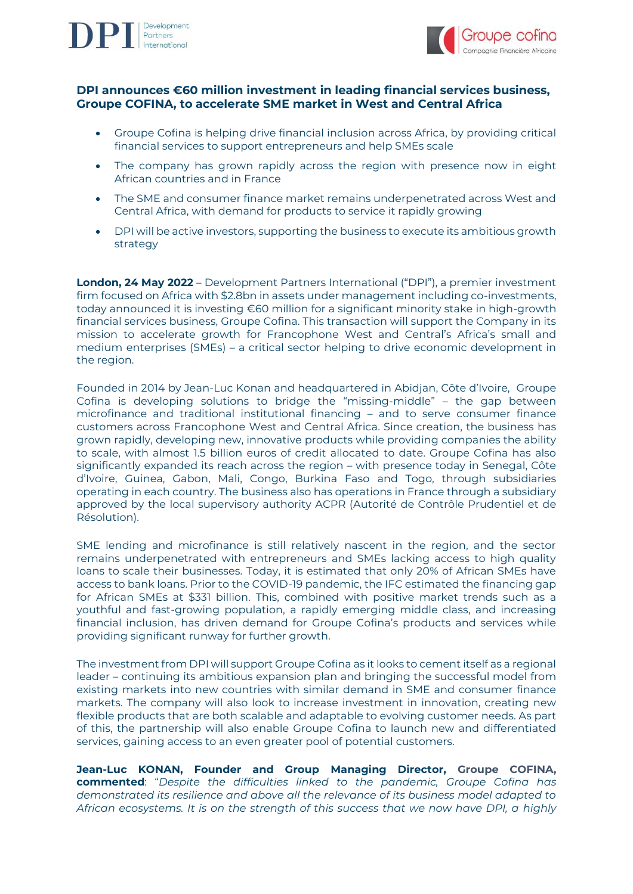



# **DPI announces €60 million investment in leading financial services business, Groupe COFINA, to accelerate SME market in West and Central Africa**

- Groupe Cofina is helping drive financial inclusion across Africa, by providing critical financial services to support entrepreneurs and help SMEs scale
- The company has grown rapidly across the region with presence now in eight African countries and in France
- The SME and consumer finance market remains underpenetrated across West and Central Africa, with demand for products to service it rapidly growing
- DPI will be active investors, supporting the business to execute its ambitious growth strategy

**London, 24 May 2022** – Development Partners International ("DPI"), a premier investment firm focused on Africa with \$2.8bn in assets under management including co-investments, today announced it is investing €60 million for a significant minority stake in high-growth financial services business, Groupe Cofina. This transaction will support the Company in its mission to accelerate growth for Francophone West and Central's Africa's small and medium enterprises (SMEs) – a critical sector helping to drive economic development in the region.

Founded in 2014 by Jean-Luc Konan and headquartered in Abidjan, Côte d'Ivoire, Groupe Cofina is developing solutions to bridge the "missing-middle" – the gap between microfinance and traditional institutional financing – and to serve consumer finance customers across Francophone West and Central Africa. Since creation, the business has grown rapidly, developing new, innovative products while providing companies the ability to scale, with almost 1.5 billion euros of credit allocated to date. Groupe Cofina has also significantly expanded its reach across the region – with presence today in Senegal, Côte d'Ivoire, Guinea, Gabon, Mali, Congo, Burkina Faso and Togo, through subsidiaries operating in each country. The business also has operations in France through a subsidiary approved by the local supervisory authority ACPR (Autorité de Contrôle Prudentiel et de Résolution).

SME lending and microfinance is still relatively nascent in the region, and the sector remains underpenetrated with entrepreneurs and SMEs lacking access to high quality loans to scale their businesses. Today, it is estimated that only 20% of African SMEs have access to bank loans. Prior to the COVID-19 pandemic, the IFC estimated the financing gap for African SMEs at \$331 billion. This, combined with positive market trends such as a youthful and fast-growing population, a rapidly emerging middle class, and increasing financial inclusion, has driven demand for Groupe Cofina's products and services while providing significant runway for further growth.

The investment from DPI will support Groupe Cofina as it looks to cement itself as a regional leader – continuing its ambitious expansion plan and bringing the successful model from existing markets into new countries with similar demand in SME and consumer finance markets. The company will also look to increase investment in innovation, creating new flexible products that are both scalable and adaptable to evolving customer needs. As part of this, the partnership will also enable Groupe Cofina to launch new and differentiated services, gaining access to an even greater pool of potential customers.

**Jean-Luc KONAN, Founder and Group Managing Director, Groupe COFINA, commented**: "*Despite the difficulties linked to the pandemic, Groupe Cofina has demonstrated its resilience and above all the relevance of its business model adapted to African ecosystems. It is on the strength of this success that we now have DPI, a highly*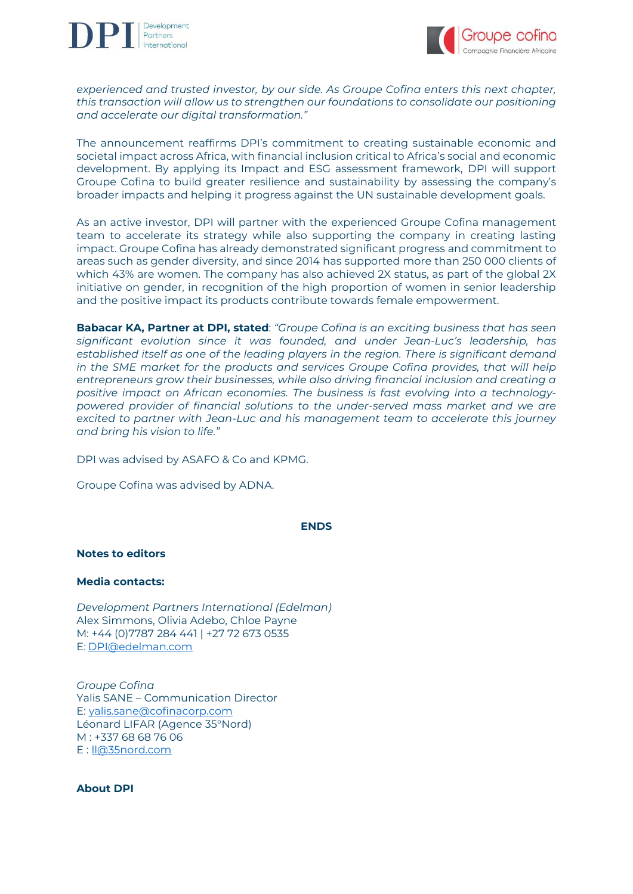



*experienced and trusted investor, by our side. As Groupe Cofina enters this next chapter, this transaction will allow us to strengthen our foundations to consolidate our positioning and accelerate our digital transformation."*

The announcement reaffirms DPI's commitment to creating sustainable economic and societal impact across Africa, with financial inclusion critical to Africa's social and economic development. By applying its Impact and ESG assessment framework, DPI will support Groupe Cofina to build greater resilience and sustainability by assessing the company's broader impacts and helping it progress against the UN sustainable development goals.

As an active investor, DPI will partner with the experienced Groupe Cofina management team to accelerate its strategy while also supporting the company in creating lasting impact. Groupe Cofina has already demonstrated significant progress and commitment to areas such as gender diversity, and since 2014 has supported more than 250 000 clients of which 43% are women. The company has also achieved 2X status, as part of the global 2X initiative on gender, in recognition of the high proportion of women in senior leadership and the positive impact its products contribute towards female empowerment.

**Babacar KA, Partner at DPI, stated**: *"Groupe Cofina is an exciting business that has seen significant evolution since it was founded, and under Jean-Luc's leadership, has established itself as one of the leading players in the region. There is significant demand in the SME market for the products and services Groupe Cofina provides, that will help entrepreneurs grow their businesses, while also driving financial inclusion and creating a positive impact on African economies. The business is fast evolving into a technologypowered provider of financial solutions to the under-served mass market and we are excited to partner with Jean-Luc and his management team to accelerate this journey and bring his vision to life."*

DPI was advised by ASAFO & Co and KPMG.

Groupe Cofina was advised by ADNA.

### **ENDS**

### **Notes to editors**

### **Media contacts:**

*Development Partners International (Edelman)* Alex Simmons, Olivia Adebo, Chloe Payne M: +44 (0)7787 284 441 | +27 72 673 0535 E: [DPI@edelman.com](mailto:DPI@edelman.com)

*Groupe Cofina* Yalis SANE – Communication Director E: [yalis.sane@cofinacorp.com](mailto:yalis.sane@cofinacorp.com) Léonard LIFAR (Agence 35°Nord) M : +337 68 68 76 06 E : [ll@35nord.com](mailto:ll@35nord.com)

## **About DPI**